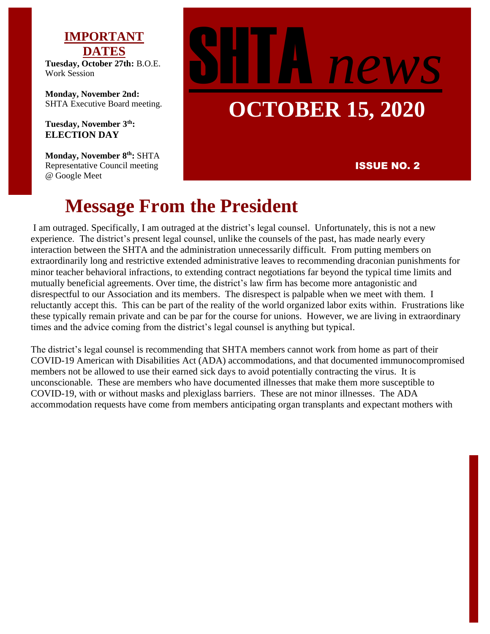# **IMPORTANT DATES**

**Tuesday, October 27th:** B.O.E. Work Session

**Monday, November 2nd:**  SHTA Executive Board meeting.

**Tuesday, November 3th: ELECTION DAY**

**Monday, November 8th:** SHTA Representative Council meeting @ Google Meet

# SHTA *news* **OCTOBER 15, 2020**

#### ISSUE NO. 2

# **Message From the President**

I am outraged. Specifically, I am outraged at the district's legal counsel. Unfortunately, this is not a new experience. The district's present legal counsel, unlike the counsels of the past, has made nearly every interaction between the SHTA and the administration unnecessarily difficult. From putting members on extraordinarily long and restrictive extended administrative leaves to recommending draconian punishments for minor teacher behavioral infractions, to extending contract negotiations far beyond the typical time limits and mutually beneficial agreements. Over time, the district's law firm has become more antagonistic and disrespectful to our Association and its members. The disrespect is palpable when we meet with them. I reluctantly accept this. This can be part of the reality of the world organized labor exits within. Frustrations like these typically remain private and can be par for the course for unions. However, we are living in extraordinary times and the advice coming from the district's legal counsel is anything but typical.

The district's legal counsel is recommending that SHTA members cannot work from home as part of their COVID-19 American with Disabilities Act (ADA) accommodations, and that documented immunocompromised members not be allowed to use their earned sick days to avoid potentially contracting the virus. It is unconscionable. These are members who have documented illnesses that make them more susceptible to COVID-19, with or without masks and plexiglass barriers. These are not minor illnesses. The ADA accommodation requests have come from members anticipating organ transplants and expectant mothers with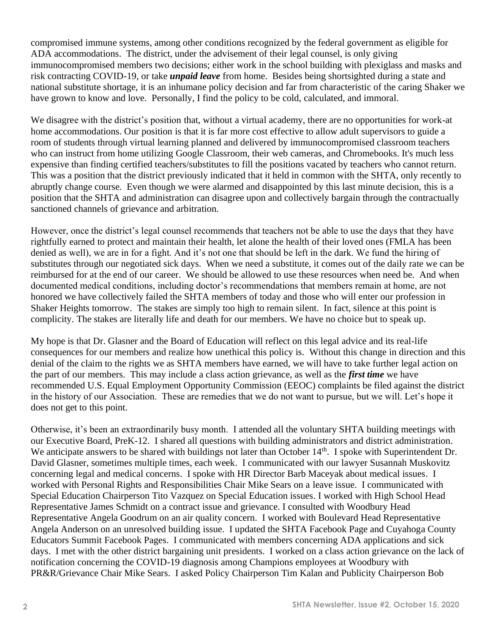compromised immune systems, among other conditions recognized by the federal government as eligible for ADA accommodations. The district, under the advisement of their legal counsel, is only giving immunocompromised members two decisions; either work in the school building with plexiglass and masks and risk contracting COVID-19, or take *unpaid leave* from home. Besides being shortsighted during a state and national substitute shortage, it is an inhumane policy decision and far from characteristic of the caring Shaker we have grown to know and love. Personally, I find the policy to be cold, calculated, and immoral.

We disagree with the district's position that, without a virtual academy, there are no opportunities for work-at home accommodations. Our position is that it is far more cost effective to allow adult supervisors to guide a room of students through virtual learning planned and delivered by immunocompromised classroom teachers who can instruct from home utilizing Google Classroom, their web cameras, and Chromebooks. It's much less expensive than finding certified teachers/substitutes to fill the positions vacated by teachers who cannot return. This was a position that the district previously indicated that it held in common with the SHTA, only recently to abruptly change course. Even though we were alarmed and disappointed by this last minute decision, this is a position that the SHTA and administration can disagree upon and collectively bargain through the contractually sanctioned channels of grievance and arbitration.

However, once the district's legal counsel recommends that teachers not be able to use the days that they have rightfully earned to protect and maintain their health, let alone the health of their loved ones (FMLA has been denied as well), we are in for a fight. And it's not one that should be left in the dark. We fund the hiring of substitutes through our negotiated sick days. When we need a substitute, it comes out of the daily rate we can be reimbursed for at the end of our career. We should be allowed to use these resources when need be. And when documented medical conditions, including doctor's recommendations that members remain at home, are not honored we have collectively failed the SHTA members of today and those who will enter our profession in Shaker Heights tomorrow. The stakes are simply too high to remain silent. In fact, silence at this point is complicity. The stakes are literally life and death for our members. We have no choice but to speak up.

My hope is that Dr. Glasner and the Board of Education will reflect on this legal advice and its real-life consequences for our members and realize how unethical this policy is. Without this change in direction and this denial of the claim to the rights we as SHTA members have earned, we will have to take further legal action on the part of our members. This may include a class action grievance, as well as the *first time* we have recommended U.S. Equal Employment Opportunity Commission (EEOC) complaints be filed against the district in the history of our Association. These are remedies that we do not want to pursue, but we will. Let's hope it does not get to this point.

Otherwise, it's been an extraordinarily busy month. I attended all the voluntary SHTA building meetings with our Executive Board, PreK-12. I shared all questions with building administrators and district administration. We anticipate answers to be shared with buildings not later than October 14<sup>th</sup>. I spoke with Superintendent Dr. David Glasner, sometimes multiple times, each week. I communicated with our lawyer Susannah Muskovitz concerning legal and medical concerns. I spoke with HR Director Barb Maceyak about medical issues. I worked with Personal Rights and Responsibilities Chair Mike Sears on a leave issue. I communicated with Special Education Chairperson Tito Vazquez on Special Education issues. I worked with High School Head Representative James Schmidt on a contract issue and grievance. I consulted with Woodbury Head Representative Angela Goodrum on an air quality concern. I worked with Boulevard Head Representative Angela Anderson on an unresolved building issue. I updated the SHTA Facebook Page and Cuyahoga County Educators Summit Facebook Pages. I communicated with members concerning ADA applications and sick days. I met with the other district bargaining unit presidents. I worked on a class action grievance on the lack of notification concerning the COVID-19 diagnosis among Champions employees at Woodbury with PR&R/Grievance Chair Mike Sears. I asked Policy Chairperson Tim Kalan and Publicity Chairperson Bob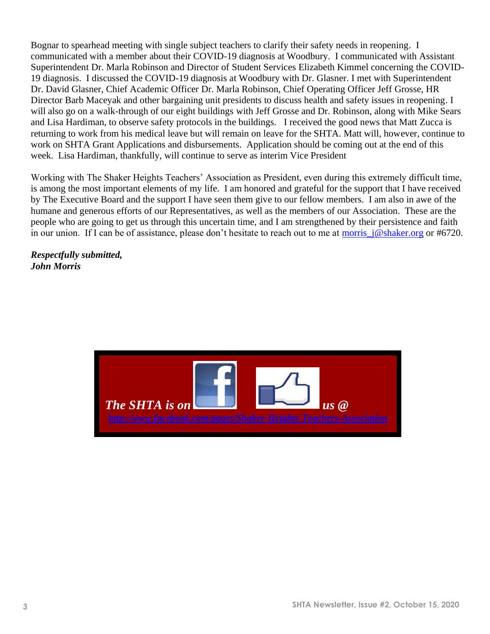Bognar to spearhead meeting with single subject teachers to clarify their safety needs in reopening. I communicated with a member about their COVID-19 diagnosis at Woodbury. I communicated with Assistant Superintendent Dr. Marla Robinson and Director of Student Services Elizabeth Kimmel concerning the COVID-19 diagnosis. I discussed the COVID-19 diagnosis at Woodbury with Dr. Glasner. I met with Superintendent Dr. David Glasner, Chief Academic Officer Dr. Marla Robinson, Chief Operating Officer Jeff Grosse, HR Director Barb Maceyak and other bargaining unit presidents to discuss health and safety issues in reopening. I will also go on a walk-through of our eight buildings with Jeff Grosse and Dr. Robinson, along with Mike Sears and Lisa Hardiman, to observe safety protocols in the buildings. I received the good news that Matt Zucca is returning to work from his medical leave but will remain on leave for the SHTA. Matt will, however, continue to work on SHTA Grant Applications and disbursements. Application should be coming out at the end of this week. Lisa Hardiman, thankfully, will continue to serve as interim Vice President

Working with The Shaker Heights Teachers' Association as President, even during this extremely difficult time, is among the most important elements of my life. I am honored and grateful for the support that I have received by The Executive Board and the support I have seen them give to our fellow members. I am also in awe of the humane and generous efforts of our Representatives, as well as the members of our Association. These are the people who are going to get us through this uncertain time, and I am strengthened by their persistence and faith in our union. If I can be of assistance, please don't hesitate to reach out to me at [morris\\_j@shaker.org](mailto:morris_j@shaker.org) or #6720.

*Respectfully submitted, John Morris*

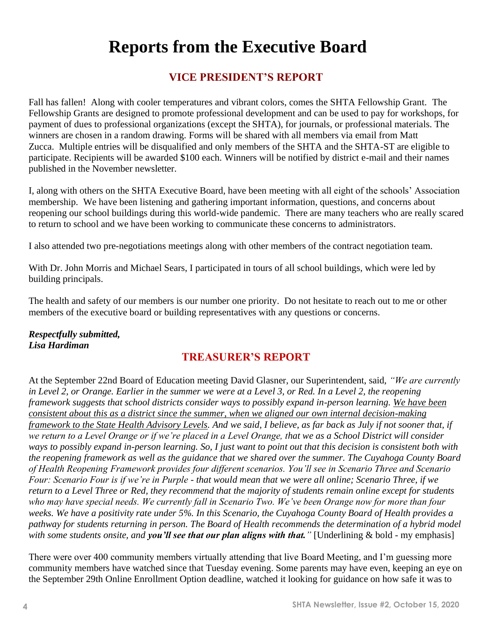# **Reports from the Executive Board**

# **VICE PRESIDENT'S REPORT**

Fall has fallen! Along with cooler temperatures and vibrant colors, comes the SHTA Fellowship Grant. The Fellowship Grants are designed to promote professional development and can be used to pay for workshops, for payment of dues to professional organizations (except the SHTA), for journals, or professional materials. The winners are chosen in a random drawing. Forms will be shared with all members via email from Matt Zucca. Multiple entries will be disqualified and only members of the SHTA and the SHTA-ST are eligible to participate. Recipients will be awarded \$100 each. Winners will be notified by district e-mail and their names published in the November newsletter.

I, along with others on the SHTA Executive Board, have been meeting with all eight of the schools' Association membership. We have been listening and gathering important information, questions, and concerns about reopening our school buildings during this world-wide pandemic. There are many teachers who are really scared to return to school and we have been working to communicate these concerns to administrators.

I also attended two pre-negotiations meetings along with other members of the contract negotiation team.

With Dr. John Morris and Michael Sears, I participated in tours of all school buildings, which were led by building principals.

The health and safety of our members is our number one priority. Do not hesitate to reach out to me or other members of the executive board or building representatives with any questions or concerns.

#### *Respectfully submitted, Lisa Hardiman*

# **TREASURER'S REPORT**

At the September 22nd Board of Education meeting David Glasner, our Superintendent, said, *"We are currently in Level 2, or Orange. Earlier in the summer we were at a Level 3, or Red. In a Level 2, the reopening framework suggests that school districts consider ways to possibly expand in-person learning. We have been consistent about this as a district since the summer, when we aligned our own internal decision-making framework to the State Health Advisory Levels. And we said, I believe, as far back as July if not sooner that, if*  we return to a Level Orange or if we're placed in a Level Orange, that we as a School District will consider *ways to possibly expand in-person learning. So, I just want to point out that this decision is consistent both with the reopening framework as well as the guidance that we shared over the summer. The Cuyahoga County Board of Health Reopening Framework provides four different scenarios. You'll see in Scenario Three and Scenario Four: Scenario Four is if we're in Purple - that would mean that we were all online; Scenario Three, if we return to a Level Three or Red, they recommend that the majority of students remain online except for students who may have special needs. We currently fall in Scenario Two. We've been Orange now for more than four weeks. We have a positivity rate under 5%. In this Scenario, the Cuyahoga County Board of Health provides a pathway for students returning in person. The Board of Health recommends the determination of a hybrid model with some students onsite, and you'll see that our plan aligns with that."* [Underlining & bold - my emphasis]

There were over 400 community members virtually attending that live Board Meeting, and I'm guessing more community members have watched since that Tuesday evening. Some parents may have even, keeping an eye on the September 29th Online Enrollment Option deadline, watched it looking for guidance on how safe it was to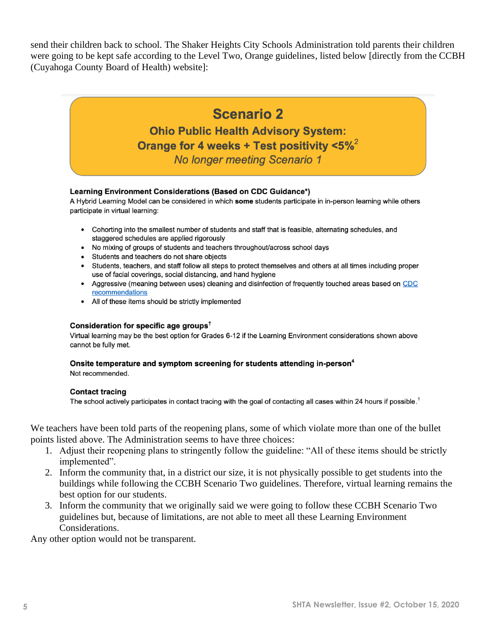send their children back to school. The Shaker Heights City Schools Administration told parents their children were going to be kept safe according to the Level Two, Orange guidelines, listed below [directly from the CCBH (Cuyahoga County Board of Health) website]:

# **Scenario 2**

**Ohio Public Health Advisory System:** Orange for 4 weeks + Test positivity  $< 5\%^2$ No longer meeting Scenario 1

#### Learning Environment Considerations (Based on CDC Guidance\*)

A Hybrid Learning Model can be considered in which some students participate in in-person learning while others participate in virtual learning:

- Cohorting into the smallest number of students and staff that is feasible, alternating schedules, and staggered schedules are applied rigorously
- No mixing of groups of students and teachers throughout/across school days
- Students and teachers do not share objects
- Students, teachers, and staff follow all steps to protect themselves and others at all times including proper use of facial coverings, social distancing, and hand hygiene
- Aggressive (meaning between uses) cleaning and disinfection of frequently touched areas based on CDC recommendations
- All of these items should be strictly implemented

#### Consideration for specific age groups<sup>t</sup>

Virtual learning may be the best option for Grades 6-12 if the Learning Environment considerations shown above cannot be fully met.

#### Onsite temperature and symptom screening for students attending in-person<sup>4</sup> Not recommended.

#### **Contact tracing**

The school actively participates in contact tracing with the goal of contacting all cases within 24 hours if possible.<sup>1</sup>

We teachers have been told parts of the reopening plans, some of which violate more than one of the bullet points listed above. The Administration seems to have three choices:

- 1. Adjust their reopening plans to stringently follow the guideline: "All of these items should be strictly implemented".
- 2. Inform the community that, in a district our size, it is not physically possible to get students into the buildings while following the CCBH Scenario Two guidelines. Therefore, virtual learning remains the best option for our students.
- 3. Inform the community that we originally said we were going to follow these CCBH Scenario Two guidelines but, because of limitations, are not able to meet all these Learning Environment Considerations.

Any other option would not be transparent.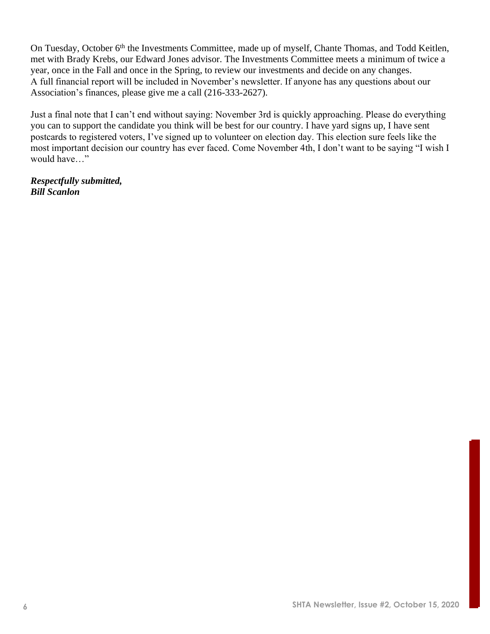On Tuesday, October 6<sup>th</sup> the Investments Committee, made up of myself, Chante Thomas, and Todd Keitlen, met with Brady Krebs, our Edward Jones advisor. The Investments Committee meets a minimum of twice a year, once in the Fall and once in the Spring, to review our investments and decide on any changes. A full financial report will be included in November's newsletter. If anyone has any questions about our Association's finances, please give me a call (216-333-2627).

Just a final note that I can't end without saying: November 3rd is quickly approaching. Please do everything you can to support the candidate you think will be best for our country. I have yard signs up, I have sent postcards to registered voters, I've signed up to volunteer on election day. This election sure feels like the most important decision our country has ever faced. Come November 4th, I don't want to be saying "I wish I would have…"

*Respectfully submitted, Bill Scanlon*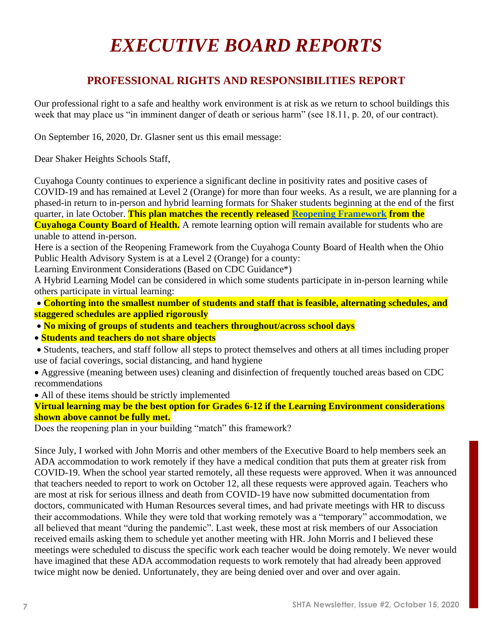# *EXECUTIVE BOARD REPORTS*

# **PROFESSIONAL RIGHTS AND RESPONSIBILITIES REPORT**

Our professional right to a safe and healthy work environment is at risk as we return to school buildings this week that may place us "in imminent danger of death or serious harm" (see 18.11, p. 20, of our contract).

On September 16, 2020, Dr. Glasner sent us this email message:

Dear Shaker Heights Schools Staff,

Cuyahoga County continues to experience a significant decline in positivity rates and positive cases of COVID-19 and has remained at Level 2 (Orange) for more than four weeks. As a result, we are planning for a phased-in return to in-person and hybrid learning formats for Shaker students beginning at the end of the first quarter, in late October. **This plan matches the recently released Reopening Framework from the Cuyahoga County Board of Health.** A remote learning option will remain available for students who are

unable to attend in-person.

Here is a section of the Reopening Framework from the Cuyahoga County Board of Health when the Ohio Public Health Advisory System is at a Level 2 (Orange) for a county:

Learning Environment Considerations (Based on CDC Guidance\*)

A Hybrid Learning Model can be considered in which some students participate in in-person learning while others participate in virtual learning:

• **Cohorting into the smallest number of students and staff that is feasible, alternating schedules, and staggered schedules are applied rigorously**

• **No mixing of groups of students and teachers throughout/across school days**

• **Students and teachers do not share objects**

• Students, teachers, and staff follow all steps to protect themselves and others at all times including proper use of facial coverings, social distancing, and hand hygiene

• Aggressive (meaning between uses) cleaning and disinfection of frequently touched areas based on CDC recommendations

• All of these items should be strictly implemented

**Virtual learning may be the best option for Grades 6-12 if the Learning Environment considerations shown above cannot be fully met.**

Does the reopening plan in your building "match" this framework?

Since July, I worked with John Morris and other members of the Executive Board to help members seek an ADA accommodation to work remotely if they have a medical condition that puts them at greater risk from COVID-19. When the school year started remotely, all these requests were approved. When it was announced that teachers needed to report to work on October 12, all these requests were approved again. Teachers who are most at risk for serious illness and death from COVID-19 have now submitted documentation from doctors, communicated with Human Resources several times, and had private meetings with HR to discuss their accommodations. While they were told that working remotely was a "temporary" accommodation, we all believed that meant "during the pandemic". Last week, these most at risk members of our Association received emails asking them to schedule yet another meeting with HR. John Morris and I believed these meetings were scheduled to discuss the specific work each teacher would be doing remotely. We never would have imagined that these ADA accommodation requests to work remotely that had already been approved twice might now be denied. Unfortunately, they are being denied over and over and over again.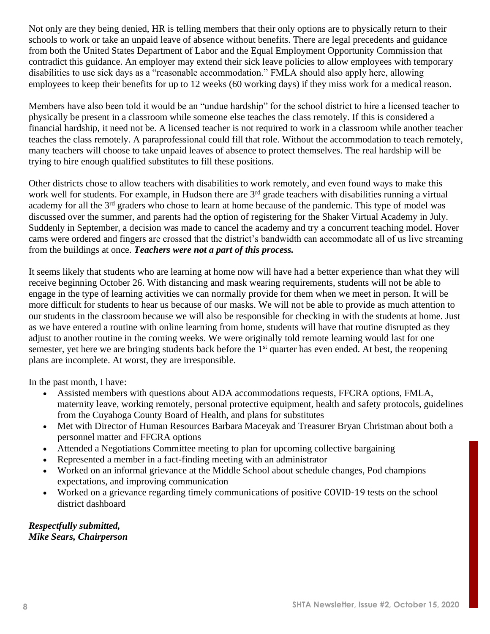Not only are they being denied, HR is telling members that their only options are to physically return to their schools to work or take an unpaid leave of absence without benefits. There are legal precedents and guidance from both the United States Department of Labor and the Equal Employment Opportunity Commission that contradict this guidance. An employer may extend their sick leave policies to allow employees with temporary disabilities to use sick days as a "reasonable accommodation." FMLA should also apply here, allowing employees to keep their benefits for up to 12 weeks (60 working days) if they miss work for a medical reason.

Members have also been told it would be an "undue hardship" for the school district to hire a licensed teacher to physically be present in a classroom while someone else teaches the class remotely. If this is considered a financial hardship, it need not be. A licensed teacher is not required to work in a classroom while another teacher teaches the class remotely. A paraprofessional could fill that role. Without the accommodation to teach remotely, many teachers will choose to take unpaid leaves of absence to protect themselves. The real hardship will be trying to hire enough qualified substitutes to fill these positions.

Other districts chose to allow teachers with disabilities to work remotely, and even found ways to make this work well for students. For example, in Hudson there are 3<sup>rd</sup> grade teachers with disabilities running a virtual academy for all the 3<sup>rd</sup> graders who chose to learn at home because of the pandemic. This type of model was discussed over the summer, and parents had the option of registering for the Shaker Virtual Academy in July. Suddenly in September, a decision was made to cancel the academy and try a concurrent teaching model. Hover cams were ordered and fingers are crossed that the district's bandwidth can accommodate all of us live streaming from the buildings at once. *Teachers were not a part of this process.*

It seems likely that students who are learning at home now will have had a better experience than what they will receive beginning October 26. With distancing and mask wearing requirements, students will not be able to engage in the type of learning activities we can normally provide for them when we meet in person. It will be more difficult for students to hear us because of our masks. We will not be able to provide as much attention to our students in the classroom because we will also be responsible for checking in with the students at home. Just as we have entered a routine with online learning from home, students will have that routine disrupted as they adjust to another routine in the coming weeks. We were originally told remote learning would last for one semester, yet here we are bringing students back before the 1<sup>st</sup> quarter has even ended. At best, the reopening plans are incomplete. At worst, they are irresponsible.

In the past month, I have:

- Assisted members with questions about ADA accommodations requests, FFCRA options, FMLA, maternity leave, working remotely, personal protective equipment, health and safety protocols, guidelines from the Cuyahoga County Board of Health, and plans for substitutes
- Met with Director of Human Resources Barbara Maceyak and Treasurer Bryan Christman about both a personnel matter and FFCRA options
- Attended a Negotiations Committee meeting to plan for upcoming collective bargaining
- Represented a member in a fact-finding meeting with an administrator
- Worked on an informal grievance at the Middle School about schedule changes, Pod champions expectations, and improving communication
- Worked on a grievance regarding timely communications of positive COVID-19 tests on the school district dashboard

*Respectfully submitted, Mike Sears, Chairperson*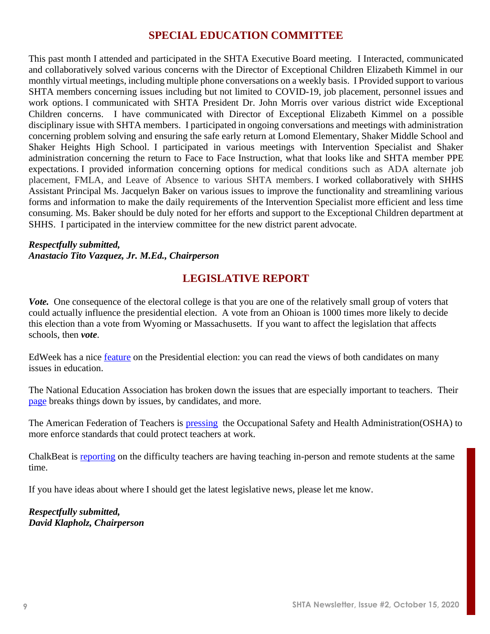#### **SPECIAL EDUCATION COMMITTEE**

This past month I attended and participated in the SHTA Executive Board meeting. I Interacted, communicated and collaboratively solved various concerns with the Director of Exceptional Children Elizabeth Kimmel in our monthly virtual meetings, including multiple phone conversations on a weekly basis. I Provided support to various SHTA members concerning issues including but not limited to COVID-19, job placement, personnel issues and work options. I communicated with SHTA President Dr. John Morris over various district wide Exceptional Children concerns. I have communicated with Director of Exceptional Elizabeth Kimmel on a possible disciplinary issue with SHTA members. I participated in ongoing conversations and meetings with administration concerning problem solving and ensuring the safe early return at Lomond Elementary, Shaker Middle School and Shaker Heights High School. I participated in various meetings with Intervention Specialist and Shaker administration concerning the return to Face to Face Instruction, what that looks like and SHTA member PPE expectations. I provided information concerning options for medical conditions such as ADA alternate job placement, FMLA, and Leave of Absence to various SHTA members. I worked collaboratively with SHHS Assistant Principal Ms. Jacquelyn Baker on various issues to improve the functionality and streamlining various forms and information to make the daily requirements of the Intervention Specialist more efficient and less time consuming. Ms. Baker should be duly noted for her efforts and support to the Exceptional Children department at SHHS. I participated in the interview committee for the new district parent advocate.

#### *Respectfully submitted, Anastacio Tito Vazquez, Jr. M.Ed., Chairperson*

# **LEGISLATIVE REPORT**

*Vote.* One consequence of the electoral college is that you are one of the relatively small group of voters that could actually influence the presidential election. A vote from an Ohioan is 1000 times more likely to decide this election than a vote from Wyoming or Massachusetts. If you want to affect the legislation that affects schools, then *vote*.

EdWeek has a nice [feature](https://www.edweek.org/ew/projects/education2020/?intc=main-topnav) on the Presidential election: you can read the views of both candidates on many issues in education.

The National Education Association has broken down the issues that are especially important to teachers. Their [page](https://educationvotes.nea.org/) breaks things down by issues, by candidates, and more.

The American Federation of Teachers is [pressing](https://actionnetwork.org/letters/make-osha-protect-frontline-workers) the Occupational Safety and Health Administration(OSHA) to more enforce standards that could protect teachers at work.

ChalkBeat is **reporting** on the difficulty teachers are having teaching in-person and remote students at the same time.

If you have ideas about where I should get the latest legislative news, please let me know.

*Respectfully submitted, David Klapholz, Chairperson*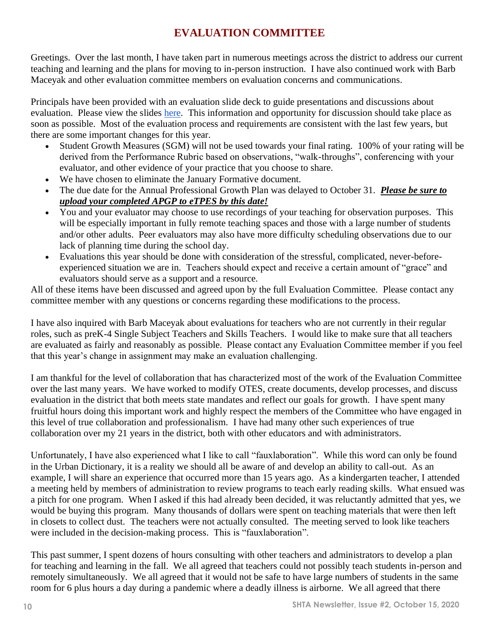# **EVALUATION COMMITTEE**

Greetings. Over the last month, I have taken part in numerous meetings across the district to address our current teaching and learning and the plans for moving to in-person instruction. I have also continued work with Barb Maceyak and other evaluation committee members on evaluation concerns and communications.

Principals have been provided with an evaluation slide deck to guide presentations and discussions about evaluation. Please view the slides [here.](https://docs.google.com/presentation/d/1YvxyFN_0fS1FXiFtIK_WqWWaTnkdU9IOHDAqhOrj5nU/edit?usp=sharing) This information and opportunity for discussion should take place as soon as possible. Most of the evaluation process and requirements are consistent with the last few years, but there are some important changes for this year.

- Student Growth Measures (SGM) will not be used towards your final rating. 100% of your rating will be derived from the Performance Rubric based on observations, "walk-throughs", conferencing with your evaluator, and other evidence of your practice that you choose to share.
- We have chosen to eliminate the January Formative document.
- The due date for the Annual Professional Growth Plan was delayed to October 31. *Please be sure to upload your completed APGP to eTPES by this date!*
- You and your evaluator may choose to use recordings of your teaching for observation purposes. This will be especially important in fully remote teaching spaces and those with a large number of students and/or other adults. Peer evaluators may also have more difficulty scheduling observations due to our lack of planning time during the school day.
- Evaluations this year should be done with consideration of the stressful, complicated, never-beforeexperienced situation we are in. Teachers should expect and receive a certain amount of "grace" and evaluators should serve as a support and a resource.

All of these items have been discussed and agreed upon by the full Evaluation Committee. Please contact any committee member with any questions or concerns regarding these modifications to the process.

I have also inquired with Barb Maceyak about evaluations for teachers who are not currently in their regular roles, such as preK-4 Single Subject Teachers and Skills Teachers. I would like to make sure that all teachers are evaluated as fairly and reasonably as possible. Please contact any Evaluation Committee member if you feel that this year's change in assignment may make an evaluation challenging.

I am thankful for the level of collaboration that has characterized most of the work of the Evaluation Committee over the last many years. We have worked to modify OTES, create documents, develop processes, and discuss evaluation in the district that both meets state mandates and reflect our goals for growth. I have spent many fruitful hours doing this important work and highly respect the members of the Committee who have engaged in this level of true collaboration and professionalism. I have had many other such experiences of true collaboration over my 21 years in the district, both with other educators and with administrators.

Unfortunately, I have also experienced what I like to call "fauxlaboration". While this word can only be found in the Urban Dictionary, it is a reality we should all be aware of and develop an ability to call-out. As an example, I will share an experience that occurred more than 15 years ago. As a kindergarten teacher, I attended a meeting held by members of administration to review programs to teach early reading skills. What ensued was a pitch for one program. When I asked if this had already been decided, it was reluctantly admitted that yes, we would be buying this program. Many thousands of dollars were spent on teaching materials that were then left in closets to collect dust. The teachers were not actually consulted. The meeting served to look like teachers were included in the decision-making process. This is "fauxlaboration".

This past summer, I spent dozens of hours consulting with other teachers and administrators to develop a plan for teaching and learning in the fall. We all agreed that teachers could not possibly teach students in-person and remotely simultaneously. We all agreed that it would not be safe to have large numbers of students in the same room for 6 plus hours a day during a pandemic where a deadly illness is airborne. We all agreed that there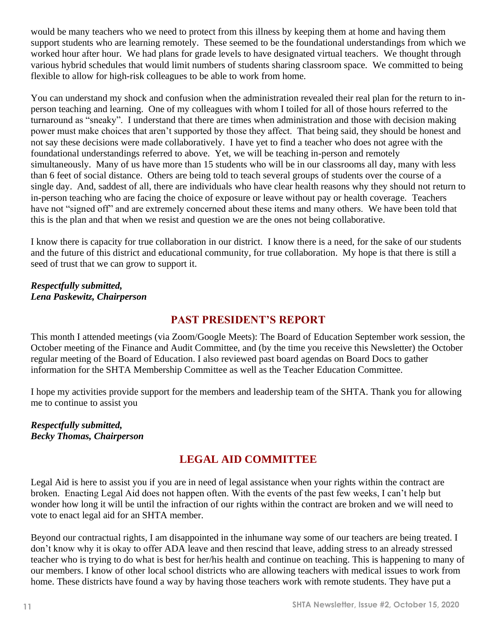would be many teachers who we need to protect from this illness by keeping them at home and having them support students who are learning remotely. These seemed to be the foundational understandings from which we worked hour after hour. We had plans for grade levels to have designated virtual teachers. We thought through various hybrid schedules that would limit numbers of students sharing classroom space. We committed to being flexible to allow for high-risk colleagues to be able to work from home.

You can understand my shock and confusion when the administration revealed their real plan for the return to inperson teaching and learning. One of my colleagues with whom I toiled for all of those hours referred to the turnaround as "sneaky". I understand that there are times when administration and those with decision making power must make choices that aren't supported by those they affect. That being said, they should be honest and not say these decisions were made collaboratively. I have yet to find a teacher who does not agree with the foundational understandings referred to above. Yet, we will be teaching in-person and remotely simultaneously. Many of us have more than 15 students who will be in our classrooms all day, many with less than 6 feet of social distance. Others are being told to teach several groups of students over the course of a single day. And, saddest of all, there are individuals who have clear health reasons why they should not return to in-person teaching who are facing the choice of exposure or leave without pay or health coverage. Teachers have not "signed off" and are extremely concerned about these items and many others. We have been told that this is the plan and that when we resist and question we are the ones not being collaborative.

I know there is capacity for true collaboration in our district. I know there is a need, for the sake of our students and the future of this district and educational community, for true collaboration. My hope is that there is still a seed of trust that we can grow to support it.

#### *Respectfully submitted, Lena Paskewitz, Chairperson*

# **PAST PRESIDENT'S REPORT**

This month I attended meetings (via Zoom/Google Meets): The Board of Education September work session, the October meeting of the Finance and Audit Committee, and (by the time you receive this Newsletter) the October regular meeting of the Board of Education. I also reviewed past board agendas on Board Docs to gather information for the SHTA Membership Committee as well as the Teacher Education Committee.

I hope my activities provide support for the members and leadership team of the SHTA. Thank you for allowing me to continue to assist you

#### *Respectfully submitted, Becky Thomas, Chairperson*

# **LEGAL AID COMMITTEE**

Legal Aid is here to assist you if you are in need of legal assistance when your rights within the contract are broken. Enacting Legal Aid does not happen often. With the events of the past few weeks, I can't help but wonder how long it will be until the infraction of our rights within the contract are broken and we will need to vote to enact legal aid for an SHTA member.

Beyond our contractual rights, I am disappointed in the inhumane way some of our teachers are being treated. I don't know why it is okay to offer ADA leave and then rescind that leave, adding stress to an already stressed teacher who is trying to do what is best for her/his health and continue on teaching. This is happening to many of our members. I know of other local school districts who are allowing teachers with medical issues to work from home. These districts have found a way by having those teachers work with remote students. They have put a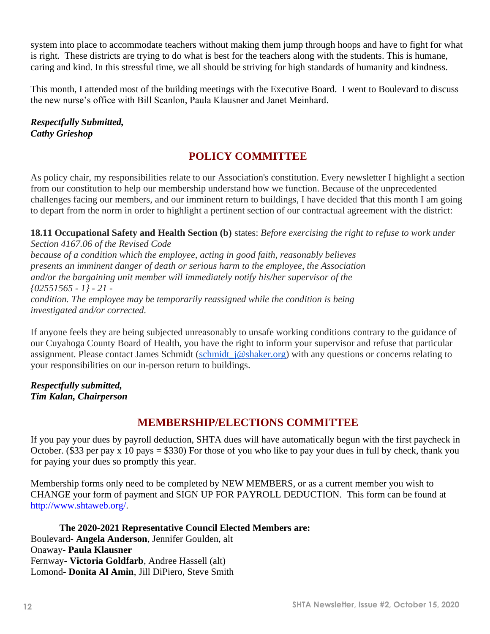system into place to accommodate teachers without making them jump through hoops and have to fight for what is right. These districts are trying to do what is best for the teachers along with the students. This is humane, caring and kind. In this stressful time, we all should be striving for high standards of humanity and kindness.

This month, I attended most of the building meetings with the Executive Board. I went to Boulevard to discuss the new nurse's office with Bill Scanlon, Paula Klausner and Janet Meinhard.

*Respectfully Submitted, Cathy Grieshop*

# **POLICY COMMITTEE**

As policy chair, my responsibilities relate to our Association's constitution. Every newsletter I highlight a section from our constitution to help our membership understand how we function. Because of the unprecedented challenges facing our members, and our imminent return to buildings, I have decided that this month I am going to depart from the norm in order to highlight a pertinent section of our contractual agreement with the district:

**18.11 Occupational Safety and Health Section (b)** states: *Before exercising the right to refuse to work under Section 4167.06 of the Revised Code because of a condition which the employee, acting in good faith, reasonably believes presents an imminent danger of death or serious harm to the employee, the Association and/or the bargaining unit member will immediately notify his/her supervisor of the {02551565 - 1} - 21 condition. The employee may be temporarily reassigned while the condition is being investigated and/or corrected.*

If anyone feels they are being subjected unreasonably to unsafe working conditions contrary to the guidance of our Cuyahoga County Board of Health, you have the right to inform your supervisor and refuse that particular assignment. Please contact James Schmidt (schmidt j@shaker.org) with any questions or concerns relating to your responsibilities on our in-person return to buildings.

*Respectfully submitted, Tim Kalan, Chairperson*

# **MEMBERSHIP/ELECTIONS COMMITTEE**

If you pay your dues by payroll deduction, SHTA dues will have automatically begun with the first paycheck in October. (\$33 per pay x 10 pays = \$330) For those of you who like to pay your dues in full by check, thank you for paying your dues so promptly this year.

Membership forms only need to be completed by NEW MEMBERS, or as a current member you wish to CHANGE your form of payment and SIGN UP FOR PAYROLL DEDUCTION. This form can be found at [http://www.shtaweb.org/.](http://www.shtaweb.org/)

**The 2020-2021 Representative Council Elected Members are:** Boulevard- **Angela Anderson**, Jennifer Goulden, alt Onaway- **Paula Klausner** Fernway- **Victoria Goldfarb**, Andree Hassell (alt) Lomond- **Donita Al Amin**, Jill DiPiero, Steve Smith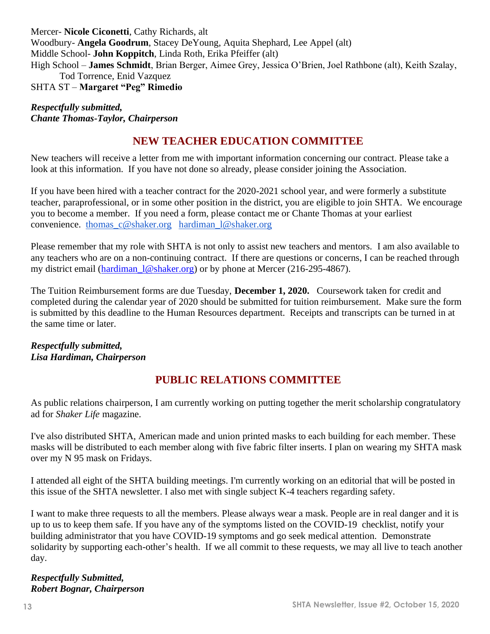Mercer- **Nicole Ciconetti**, Cathy Richards, alt Woodbury- **Angela Goodrum**, Stacey DeYoung, Aquita Shephard, Lee Appel (alt) Middle School- **John Koppitch**, Linda Roth, Erika Pfeiffer (alt) High School – **James Schmidt**, Brian Berger, Aimee Grey, Jessica O'Brien, Joel Rathbone (alt), Keith Szalay, Tod Torrence, Enid Vazquez SHTA ST – **Margaret "Peg" Rimedio**

#### *Respectfully submitted, Chante Thomas-Taylor, Chairperson*

# **NEW TEACHER EDUCATION COMMITTEE**

New teachers will receive a letter from me with important information concerning our contract. Please take a look at this information. If you have not done so already, please consider joining the Association.

If you have been hired with a teacher contract for the 2020-2021 school year, and were formerly a substitute teacher, paraprofessional, or in some other position in the district, you are eligible to join SHTA. We encourage you to become a member. If you need a form, please contact me or Chante Thomas at your earliest convenience. [thomas\\_c@shaker.org](mailto:thomas_c@shaker.org) [hardiman\\_l@shaker.org](mailto:hardiman_l@shaker.org)

Please remember that my role with SHTA is not only to assist new teachers and mentors. I am also available to any teachers who are on a non-continuing contract. If there are questions or concerns, I can be reached through my district email (hardiman 1@shaker.org) or by phone at Mercer (216-295-4867).

The Tuition Reimbursement forms are due Tuesday, **December 1, 2020.** Coursework taken for credit and completed during the calendar year of 2020 should be submitted for tuition reimbursement. Make sure the form is submitted by this deadline to the Human Resources department. Receipts and transcripts can be turned in at the same time or later.

#### *Respectfully submitted, Lisa Hardiman, Chairperson*

# **PUBLIC RELATIONS COMMITTEE**

As public relations chairperson, I am currently working on putting together the merit scholarship congratulatory ad for *Shaker Life* magazine.

I've also distributed SHTA, American made and union printed masks to each building for each member. These masks will be distributed to each member along with five fabric filter inserts. I plan on wearing my SHTA mask over my N 95 mask on Fridays.

I attended all eight of the SHTA building meetings. I'm currently working on an editorial that will be posted in this issue of the SHTA newsletter. I also met with single subject K-4 teachers regarding safety.

I want to make three requests to all the members. Please always wear a mask. People are in real danger and it is up to us to keep them safe. If you have any of the symptoms listed on the COVID-19 checklist, notify your building administrator that you have COVID-19 symptoms and go seek medical attention. Demonstrate solidarity by supporting each-other's health. If we all commit to these requests, we may all live to teach another day.

#### *Respectfully Submitted, Robert Bognar, Chairperson*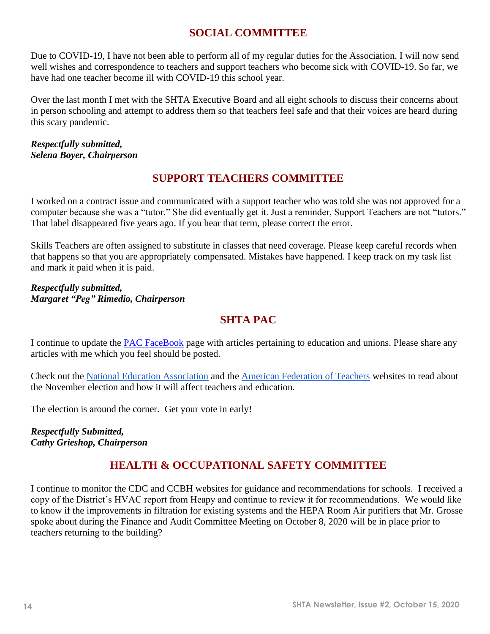# **SOCIAL COMMITTEE**

Due to COVID-19, I have not been able to perform all of my regular duties for the Association. I will now send well wishes and correspondence to teachers and support teachers who become sick with COVID-19. So far, we have had one teacher become ill with COVID-19 this school year.

Over the last month I met with the SHTA Executive Board and all eight schools to discuss their concerns about in person schooling and attempt to address them so that teachers feel safe and that their voices are heard during this scary pandemic.

#### *Respectfully submitted, Selena Boyer, Chairperson*

# **SUPPORT TEACHERS COMMITTEE**

I worked on a contract issue and communicated with a support teacher who was told she was not approved for a computer because she was a "tutor." She did eventually get it. Just a reminder, Support Teachers are not "tutors." That label disappeared five years ago. If you hear that term, please correct the error.

Skills Teachers are often assigned to substitute in classes that need coverage. Please keep careful records when that happens so that you are appropriately compensated. Mistakes have happened. I keep track on my task list and mark it paid when it is paid.

*Respectfully submitted, Margaret "Peg" Rimedio, Chairperson*

# **SHTA PAC**

I continue to update the [PAC FaceBook](https://www.facebook.com/PAC-of-Shaker-Teacher-Association-143877709008822/) page with articles pertaining to education and unions. Please share any articles with me which you feel should be posted.

Check out the [National Education Association](https://educationvotes.nea.org/presidential-2020/) and the [American Federation of Teachers](https://www.aftvotes.org/) websites to read about the November election and how it will affect teachers and education.

The election is around the corner. Get your vote in early!

*Respectfully Submitted, Cathy Grieshop, Chairperson*

# **HEALTH & OCCUPATIONAL SAFETY COMMITTEE**

I continue to monitor the CDC and CCBH websites for guidance and recommendations for schools. I received a copy of the District's HVAC report from Heapy and continue to review it for recommendations. We would like to know if the improvements in filtration for existing systems and the HEPA Room Air purifiers that Mr. Grosse spoke about during the Finance and Audit Committee Meeting on October 8, 2020 will be in place prior to teachers returning to the building?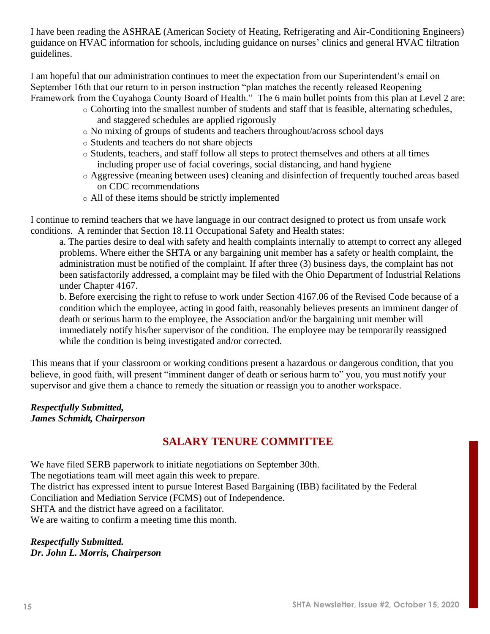I have been reading the ASHRAE (American Society of Heating, Refrigerating and Air-Conditioning Engineers) guidance on HVAC information for schools, including guidance on nurses' clinics and general HVAC filtration guidelines.

I am hopeful that our administration continues to meet the expectation from our Superintendent's email on September 16th that our return to in person instruction "plan matches the recently released Reopening Framework from the Cuyahoga County Board of Health." The 6 main bullet points from this plan at Level 2 are:

- o Cohorting into the smallest number of students and staff that is feasible, alternating schedules, and staggered schedules are applied rigorously
- o No mixing of groups of students and teachers throughout/across school days
- o Students and teachers do not share objects
- o Students, teachers, and staff follow all steps to protect themselves and others at all times including proper use of facial coverings, social distancing, and hand hygiene
- o Aggressive (meaning between uses) cleaning and disinfection of frequently touched areas based on CDC recommendations
- o All of these items should be strictly implemented

I continue to remind teachers that we have language in our contract designed to protect us from unsafe work conditions. A reminder that Section 18.11 Occupational Safety and Health states:

a. The parties desire to deal with safety and health complaints internally to attempt to correct any alleged problems. Where either the SHTA or any bargaining unit member has a safety or health complaint, the administration must be notified of the complaint. If after three (3) business days, the complaint has not been satisfactorily addressed, a complaint may be filed with the Ohio Department of Industrial Relations under Chapter 4167.

b. Before exercising the right to refuse to work under Section 4167.06 of the Revised Code because of a condition which the employee, acting in good faith, reasonably believes presents an imminent danger of death or serious harm to the employee, the Association and/or the bargaining unit member will immediately notify his/her supervisor of the condition. The employee may be temporarily reassigned while the condition is being investigated and/or corrected.

This means that if your classroom or working conditions present a hazardous or dangerous condition, that you believe, in good faith, will present "imminent danger of death or serious harm to" you, you must notify your supervisor and give them a chance to remedy the situation or reassign you to another workspace.

#### *Respectfully Submitted, James Schmidt, Chairperson*

# **SALARY TENURE COMMITTEE**

We have filed SERB paperwork to initiate negotiations on September 30th. The negotiations team will meet again this week to prepare. The district has expressed intent to pursue Interest Based Bargaining (IBB) facilitated by the Federal Conciliation and Mediation Service (FCMS) out of Independence. SHTA and the district have agreed on a facilitator. We are waiting to confirm a meeting time this month.

#### *Respectfully Submitted. Dr. John L. Morris, Chairperson*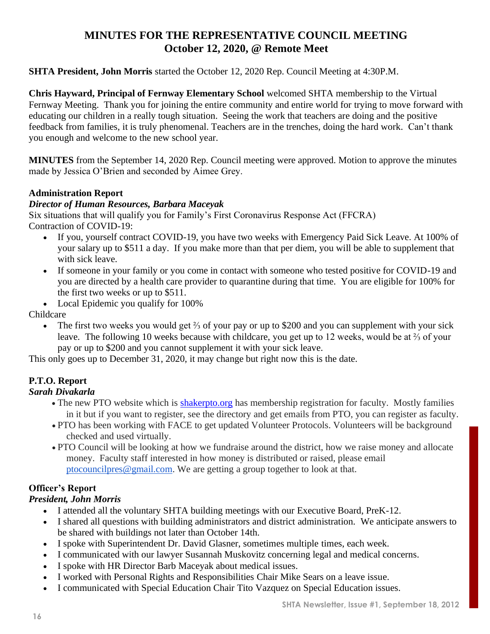# **MINUTES FOR THE REPRESENTATIVE COUNCIL MEETING October 12, 2020, @ Remote Meet**

#### **SHTA President, John Morris** started the October 12, 2020 Rep. Council Meeting at 4:30P.M.

**Chris Hayward, Principal of Fernway Elementary School** welcomed SHTA membership to the Virtual Fernway Meeting. Thank you for joining the entire community and entire world for trying to move forward with educating our children in a really tough situation. Seeing the work that teachers are doing and the positive feedback from families, it is truly phenomenal. Teachers are in the trenches, doing the hard work. Can't thank you enough and welcome to the new school year.

**MINUTES** from the September 14, 2020 Rep. Council meeting were approved. Motion to approve the minutes made by Jessica O'Brien and seconded by Aimee Grey.

#### **Administration Report**

#### *Director of Human Resources, Barbara Maceyak*

Six situations that will qualify you for Family's First Coronavirus Response Act (FFCRA) Contraction of COVID-19:

- If you, yourself contract COVID-19, you have two weeks with Emergency Paid Sick Leave. At 100% of your salary up to \$511 a day. If you make more than that per diem, you will be able to supplement that with sick leave.
- If someone in your family or you come in contact with someone who tested positive for COVID-19 and you are directed by a health care provider to quarantine during that time. You are eligible for 100% for the first two weeks or up to \$511.
- Local Epidemic you qualify for 100%

Childcare

• The first two weeks you would get <sup>2</sup>/<sub>3</sub> of your pay or up to \$200 and you can supplement with your sick leave. The following 10 weeks because with childcare, you get up to 12 weeks, would be at ⅔ of your pay or up to \$200 and you cannot supplement it with your sick leave.

This only goes up to December 31, 2020, it may change but right now this is the date.

#### **P.T.O. Report**

#### *Sarah Divakarla*

- The new PTO website which is [shakerpto.org](http://shakerpto.org/) has membership registration for faculty. Mostly families in it but if you want to register, see the directory and get emails from PTO, you can register as faculty.
- PTO has been working with FACE to get updated Volunteer Protocols. Volunteers will be background checked and used virtually.
- PTO Council will be looking at how we fundraise around the district, how we raise money and allocate money. Faculty staff interested in how money is distributed or raised, please email [ptocouncilpres@gmail.com.](mailto:ptocouncilpres@gmail.com) We are getting a group together to look at that.

#### **Officer's Report**

#### *President, John Morris*

- I attended all the voluntary SHTA building meetings with our Executive Board, PreK-12.
- I shared all questions with building administrators and district administration. We anticipate answers to be shared with buildings not later than October 14th.
- I spoke with Superintendent Dr. David Glasner, sometimes multiple times, each week.
- I communicated with our lawyer Susannah Muskovitz concerning legal and medical concerns.
- I spoke with HR Director Barb Maceyak about medical issues.
- I worked with Personal Rights and Responsibilities Chair Mike Sears on a leave issue.
- I communicated with Special Education Chair Tito Vazquez on Special Education issues.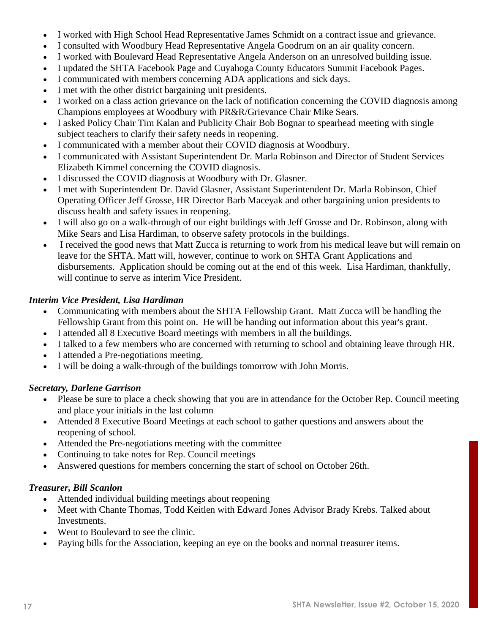- I worked with High School Head Representative James Schmidt on a contract issue and grievance.
- I consulted with Woodbury Head Representative Angela Goodrum on an air quality concern.
- I worked with Boulevard Head Representative Angela Anderson on an unresolved building issue.
- I updated the SHTA Facebook Page and Cuyahoga County Educators Summit Facebook Pages.
- I communicated with members concerning ADA applications and sick days.
- I met with the other district bargaining unit presidents.
- I worked on a class action grievance on the lack of notification concerning the COVID diagnosis among Champions employees at Woodbury with PR&R/Grievance Chair Mike Sears.
- I asked Policy Chair Tim Kalan and Publicity Chair Bob Bognar to spearhead meeting with single subject teachers to clarify their safety needs in reopening.
- I communicated with a member about their COVID diagnosis at Woodbury.
- I communicated with Assistant Superintendent Dr. Marla Robinson and Director of Student Services Elizabeth Kimmel concerning the COVID diagnosis.
- I discussed the COVID diagnosis at Woodbury with Dr. Glasner.
- I met with Superintendent Dr. David Glasner, Assistant Superintendent Dr. Marla Robinson, Chief Operating Officer Jeff Grosse, HR Director Barb Maceyak and other bargaining union presidents to discuss health and safety issues in reopening.
- I will also go on a walk-through of our eight buildings with Jeff Grosse and Dr. Robinson, along with Mike Sears and Lisa Hardiman, to observe safety protocols in the buildings.
- I received the good news that Matt Zucca is returning to work from his medical leave but will remain on leave for the SHTA. Matt will, however, continue to work on SHTA Grant Applications and disbursements. Application should be coming out at the end of this week. Lisa Hardiman, thankfully, will continue to serve as interim Vice President.

#### *Interim Vice President, Lisa Hardiman*

- Communicating with members about the SHTA Fellowship Grant. Matt Zucca will be handling the Fellowship Grant from this point on. He will be handing out information about this year's grant.
- I attended all 8 Executive Board meetings with members in all the buildings.
- I talked to a few members who are concerned with returning to school and obtaining leave through HR.
- I attended a Pre-negotiations meeting.
- I will be doing a walk-through of the buildings tomorrow with John Morris.

#### *Secretary, Darlene Garrison*

- Please be sure to place a check showing that you are in attendance for the October Rep. Council meeting and place your initials in the last column
- Attended 8 Executive Board Meetings at each school to gather questions and answers about the reopening of school.
- Attended the Pre-negotiations meeting with the committee
- Continuing to take notes for Rep. Council meetings
- Answered questions for members concerning the start of school on October 26th.

#### *Treasurer, Bill Scanlon*

- Attended individual building meetings about reopening
- Meet with Chante Thomas, Todd Keitlen with Edward Jones Advisor Brady Krebs. Talked about Investments.
- Went to Boulevard to see the clinic.
- Paying bills for the Association, keeping an eye on the books and normal treasurer items.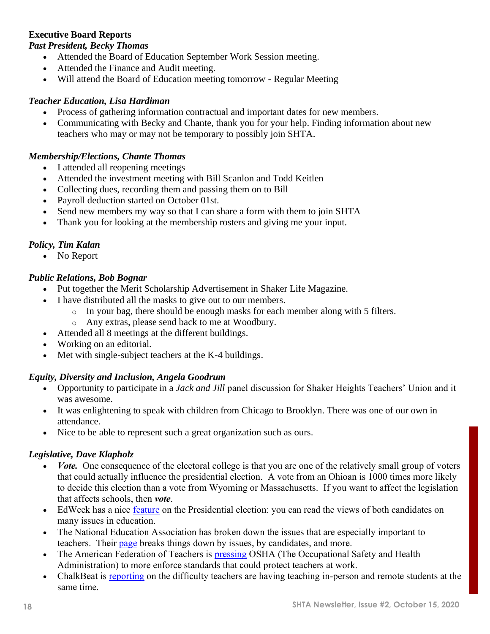#### **Executive Board Reports**

#### *Past President, Becky Thomas*

- Attended the Board of Education September Work Session meeting.
- Attended the Finance and Audit meeting.
- Will attend the Board of Education meeting tomorrow Regular Meeting

#### *Teacher Education, Lisa Hardiman*

- Process of gathering information contractual and important dates for new members.
- Communicating with Becky and Chante, thank you for your help. Finding information about new teachers who may or may not be temporary to possibly join SHTA.

#### *Membership/Elections, Chante Thomas*

- I attended all reopening meetings
- Attended the investment meeting with Bill Scanlon and Todd Keitlen
- Collecting dues, recording them and passing them on to Bill
- Payroll deduction started on October 01st.
- Send new members my way so that I can share a form with them to join SHTA
- Thank you for looking at the membership rosters and giving me your input.

#### *Policy, Tim Kalan*

• No Report

#### *Public Relations, Bob Bognar*

- Put together the Merit Scholarship Advertisement in Shaker Life Magazine.
- I have distributed all the masks to give out to our members.
	- $\circ$  In your bag, there should be enough masks for each member along with 5 filters.
	- o Any extras, please send back to me at Woodbury.
- Attended all 8 meetings at the different buildings.
- Working on an editorial.
- Met with single-subject teachers at the K-4 buildings.

#### *Equity, Diversity and Inclusion, Angela Goodrum*

- Opportunity to participate in a *Jack and Jill* panel discussion for Shaker Heights Teachers' Union and it was awesome.
- It was enlightening to speak with children from Chicago to Brooklyn. There was one of our own in attendance.
- Nice to be able to represent such a great organization such as ours.

#### *Legislative, Dave Klapholz*

- *Vote.* One consequence of the electoral college is that you are one of the relatively small group of voters that could actually influence the presidential election. A vote from an Ohioan is 1000 times more likely to decide this election than a vote from Wyoming or Massachusetts. If you want to affect the legislation that affects schools, then *vote*.
- EdWeek has a nice [feature](https://www.edweek.org/ew/projects/education2020/?intc=main-topnav) on the Presidential election: you can read the views of both candidates on many issues in education.
- The National Education Association has broken down the issues that are especially important to teachers. Their [page](https://educationvotes.nea.org/) breaks things down by issues, by candidates, and more.
- The American Federation of Teachers is **pressing OSHA** (The Occupational Safety and Health Administration) to more enforce standards that could protect teachers at work.
- ChalkBeat is [reporting](https://www.chalkbeat.org/2020/10/1/21497795/teaching-in-person-and-virtual-students-at-once-is-an-instructional-nightmare-some-educators-say) on the difficulty teachers are having teaching in-person and remote students at the same time.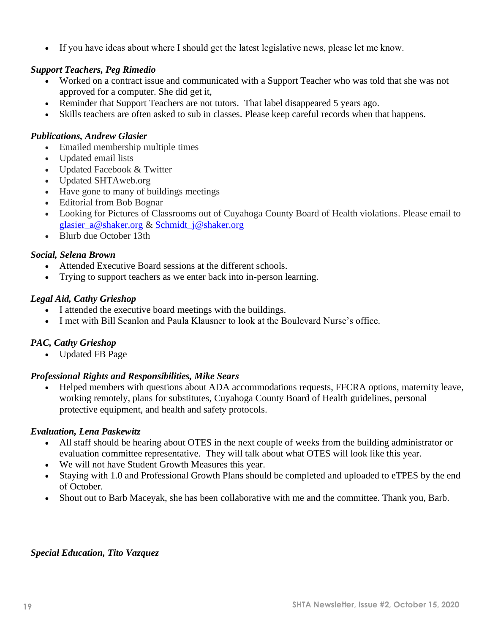• If you have ideas about where I should get the latest legislative news, please let me know.

#### *Support Teachers, Peg Rimedio*

- Worked on a contract issue and communicated with a Support Teacher who was told that she was not approved for a computer. She did get it,
- Reminder that Support Teachers are not tutors. That label disappeared 5 years ago.
- Skills teachers are often asked to sub in classes. Please keep careful records when that happens.

#### *Publications, Andrew Glasier*

- Emailed membership multiple times
- Updated email lists
- Updated Facebook & Twitter
- Updated SHTAweb.org
- Have gone to many of buildings meetings
- Editorial from Bob Bognar
- Looking for Pictures of Classrooms out of Cuyahoga County Board of Health violations. Please email to [glasier\\_a@shaker.org](mailto:glasier_a@shaker.org) & [Schmidt\\_j@shaker.org](mailto:Schmidt_j@shaker.org)
- Blurb due October 13th

#### *Social, Selena Brown*

- Attended Executive Board sessions at the different schools.
- Trying to support teachers as we enter back into in-person learning.

#### *Legal Aid, Cathy Grieshop*

- I attended the executive board meetings with the buildings.
- I met with Bill Scanlon and Paula Klausner to look at the Boulevard Nurse's office.

#### *PAC, Cathy Grieshop*

• Updated FB Page

#### *Professional Rights and Responsibilities, Mike Sears*

• Helped members with questions about ADA accommodations requests, FFCRA options, maternity leave, working remotely, plans for substitutes, Cuyahoga County Board of Health guidelines, personal protective equipment, and health and safety protocols.

#### *Evaluation, Lena Paskewitz*

- All staff should be hearing about OTES in the next couple of weeks from the building administrator or evaluation committee representative. They will talk about what OTES will look like this year.
- We will not have Student Growth Measures this year.
- Staying with 1.0 and Professional Growth Plans should be completed and uploaded to eTPES by the end of October.
- Shout out to Barb Maceyak, she has been collaborative with me and the committee. Thank you, Barb.

#### *Special Education, Tito Vazquez*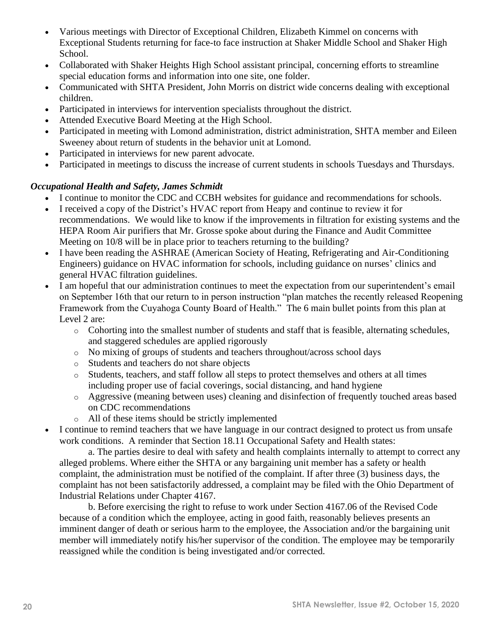- Various meetings with Director of Exceptional Children, Elizabeth Kimmel on concerns with Exceptional Students returning for face-to face instruction at Shaker Middle School and Shaker High School.
- Collaborated with Shaker Heights High School assistant principal, concerning efforts to streamline special education forms and information into one site, one folder.
- Communicated with SHTA President, John Morris on district wide concerns dealing with exceptional children.
- Participated in interviews for intervention specialists throughout the district.
- Attended Executive Board Meeting at the High School.
- Participated in meeting with Lomond administration, district administration, SHTA member and Eileen Sweeney about return of students in the behavior unit at Lomond.
- Participated in interviews for new parent advocate.
- Participated in meetings to discuss the increase of current students in schools Tuesdays and Thursdays.

#### *Occupational Health and Safety, James Schmidt*

- I continue to monitor the CDC and CCBH websites for guidance and recommendations for schools.
- I received a copy of the District's HVAC report from Heapy and continue to review it for recommendations. We would like to know if the improvements in filtration for existing systems and the HEPA Room Air purifiers that Mr. Grosse spoke about during the Finance and Audit Committee Meeting on 10/8 will be in place prior to teachers returning to the building?
- I have been reading the ASHRAE (American Society of Heating, Refrigerating and Air-Conditioning Engineers) guidance on HVAC information for schools, including guidance on nurses' clinics and general HVAC filtration guidelines.
- I am hopeful that our administration continues to meet the expectation from our superintendent's email on September 16th that our return to in person instruction "plan matches the recently released Reopening Framework from the Cuyahoga County Board of Health." The 6 main bullet points from this plan at Level 2 are:
	- o Cohorting into the smallest number of students and staff that is feasible, alternating schedules, and staggered schedules are applied rigorously
	- o No mixing of groups of students and teachers throughout/across school days
	- o Students and teachers do not share objects
	- o Students, teachers, and staff follow all steps to protect themselves and others at all times including proper use of facial coverings, social distancing, and hand hygiene
	- o Aggressive (meaning between uses) cleaning and disinfection of frequently touched areas based on CDC recommendations
	- o All of these items should be strictly implemented
- I continue to remind teachers that we have language in our contract designed to protect us from unsafe work conditions. A reminder that Section 18.11 Occupational Safety and Health states:

a. The parties desire to deal with safety and health complaints internally to attempt to correct any alleged problems. Where either the SHTA or any bargaining unit member has a safety or health complaint, the administration must be notified of the complaint. If after three (3) business days, the complaint has not been satisfactorily addressed, a complaint may be filed with the Ohio Department of Industrial Relations under Chapter 4167.

b. Before exercising the right to refuse to work under Section 4167.06 of the Revised Code because of a condition which the employee, acting in good faith, reasonably believes presents an imminent danger of death or serious harm to the employee, the Association and/or the bargaining unit member will immediately notify his/her supervisor of the condition. The employee may be temporarily reassigned while the condition is being investigated and/or corrected.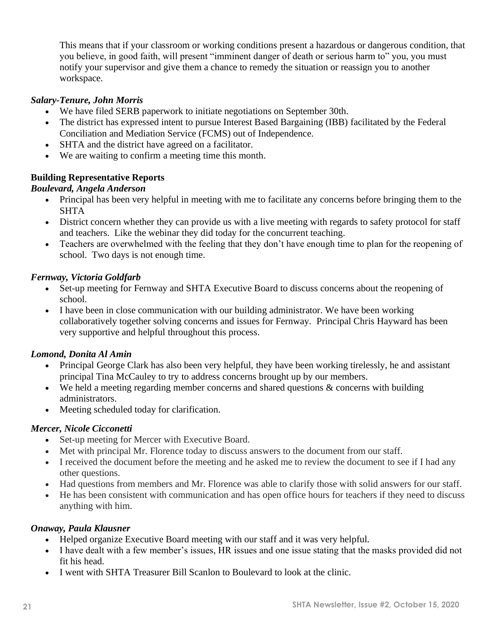This means that if your classroom or working conditions present a hazardous or dangerous condition, that you believe, in good faith, will present "imminent danger of death or serious harm to" you, you must notify your supervisor and give them a chance to remedy the situation or reassign you to another workspace.

#### *Salary-Tenure, John Morris*

- We have filed SERB paperwork to initiate negotiations on September 30th.
- The district has expressed intent to pursue Interest Based Bargaining (IBB) facilitated by the Federal Conciliation and Mediation Service (FCMS) out of Independence.
- SHTA and the district have agreed on a facilitator.
- We are waiting to confirm a meeting time this month.

#### **Building Representative Reports**

#### *Boulevard, Angela Anderson*

- Principal has been very helpful in meeting with me to facilitate any concerns before bringing them to the **SHTA**
- District concern whether they can provide us with a live meeting with regards to safety protocol for staff and teachers. Like the webinar they did today for the concurrent teaching.
- Teachers are overwhelmed with the feeling that they don't have enough time to plan for the reopening of school. Two days is not enough time.

#### *Fernway, Victoria Goldfarb*

- Set-up meeting for Fernway and SHTA Executive Board to discuss concerns about the reopening of school.
- I have been in close communication with our building administrator. We have been working collaboratively together solving concerns and issues for Fernway. Principal Chris Hayward has been very supportive and helpful throughout this process.

#### *Lomond, Donita Al Amin*

- Principal George Clark has also been very helpful, they have been working tirelessly, he and assistant principal Tina McCauley to try to address concerns brought up by our members.
- We held a meeting regarding member concerns and shared questions & concerns with building administrators.
- Meeting scheduled today for clarification.

#### *Mercer, Nicole Cicconetti*

- Set-up meeting for Mercer with Executive Board.
- Met with principal Mr. Florence today to discuss answers to the document from our staff.
- I received the document before the meeting and he asked me to review the document to see if I had any other questions.
- Had questions from members and Mr. Florence was able to clarify those with solid answers for our staff.
- He has been consistent with communication and has open office hours for teachers if they need to discuss anything with him.

#### *Onaway, Paula Klausner*

- Helped organize Executive Board meeting with our staff and it was very helpful.
- I have dealt with a few member's issues, HR issues and one issue stating that the masks provided did not fit his head.
- I went with SHTA Treasurer Bill Scanlon to Boulevard to look at the clinic.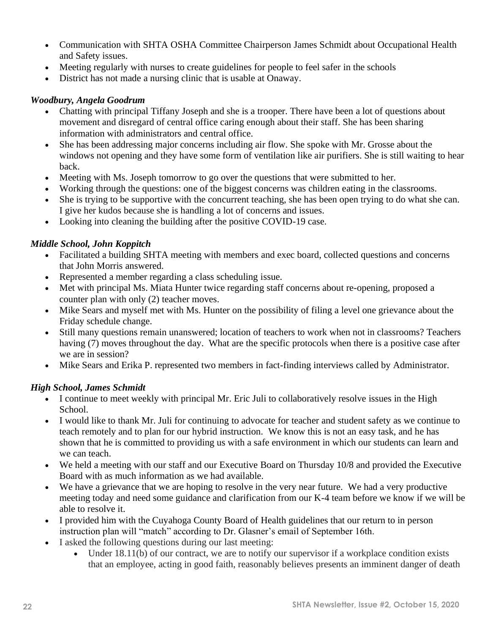- Communication with SHTA OSHA Committee Chairperson James Schmidt about Occupational Health and Safety issues.
- Meeting regularly with nurses to create guidelines for people to feel safer in the schools
- District has not made a nursing clinic that is usable at Onaway.

#### *Woodbury, Angela Goodrum*

- Chatting with principal Tiffany Joseph and she is a trooper. There have been a lot of questions about movement and disregard of central office caring enough about their staff. She has been sharing information with administrators and central office.
- She has been addressing major concerns including air flow. She spoke with Mr. Grosse about the windows not opening and they have some form of ventilation like air purifiers. She is still waiting to hear back.
- Meeting with Ms. Joseph tomorrow to go over the questions that were submitted to her.
- Working through the questions: one of the biggest concerns was children eating in the classrooms.
- She is trying to be supportive with the concurrent teaching, she has been open trying to do what she can. I give her kudos because she is handling a lot of concerns and issues.
- Looking into cleaning the building after the positive COVID-19 case.

#### *Middle School, John Koppitch*

- Facilitated a building SHTA meeting with members and exec board, collected questions and concerns that John Morris answered.
- Represented a member regarding a class scheduling issue.
- Met with principal Ms. Miata Hunter twice regarding staff concerns about re-opening, proposed a counter plan with only (2) teacher moves.
- Mike Sears and myself met with Ms. Hunter on the possibility of filing a level one grievance about the Friday schedule change.
- Still many questions remain unanswered; location of teachers to work when not in classrooms? Teachers having (7) moves throughout the day. What are the specific protocols when there is a positive case after we are in session?
- Mike Sears and Erika P. represented two members in fact-finding interviews called by Administrator.

#### *High School, James Schmidt*

- I continue to meet weekly with principal Mr. Eric Juli to collaboratively resolve issues in the High School.
- I would like to thank Mr. Juli for continuing to advocate for teacher and student safety as we continue to teach remotely and to plan for our hybrid instruction. We know this is not an easy task, and he has shown that he is committed to providing us with a safe environment in which our students can learn and we can teach.
- We held a meeting with our staff and our Executive Board on Thursday 10/8 and provided the Executive Board with as much information as we had available.
- We have a grievance that we are hoping to resolve in the very near future. We had a very productive meeting today and need some guidance and clarification from our K-4 team before we know if we will be able to resolve it.
- I provided him with the Cuyahoga County Board of Health guidelines that our return to in person instruction plan will "match" according to Dr. Glasner's email of September 16th.
- I asked the following questions during our last meeting:
	- Under 18.11(b) of our contract, we are to notify our supervisor if a workplace condition exists that an employee, acting in good faith, reasonably believes presents an imminent danger of death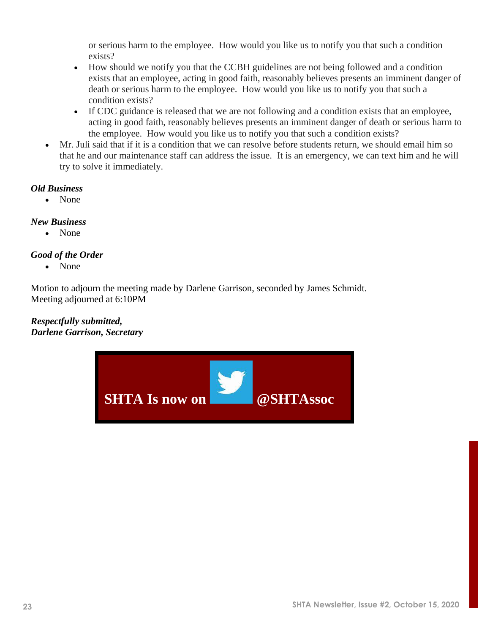or serious harm to the employee. How would you like us to notify you that such a condition exists?

- How should we notify you that the CCBH guidelines are not being followed and a condition exists that an employee, acting in good faith, reasonably believes presents an imminent danger of death or serious harm to the employee. How would you like us to notify you that such a condition exists?
- If CDC guidance is released that we are not following and a condition exists that an employee, acting in good faith, reasonably believes presents an imminent danger of death or serious harm to the employee. How would you like us to notify you that such a condition exists?
- Mr. Juli said that if it is a condition that we can resolve before students return, we should email him so that he and our maintenance staff can address the issue. It is an emergency, we can text him and he will try to solve it immediately.

#### *Old Business*

• None

#### *New Business*

• None

#### *Good of the Order*

• None

Motion to adjourn the meeting made by Darlene Garrison, seconded by James Schmidt. Meeting adjourned at 6:10PM

#### *Respectfully submitted, Darlene Garrison, Secretary*

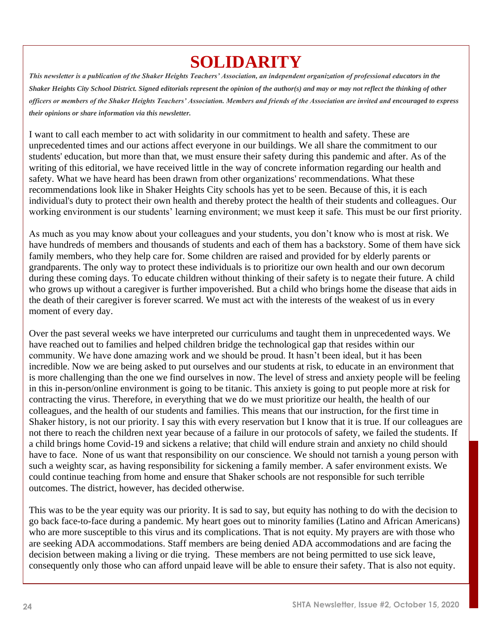# **SOLIDARITY**

*This newsletter is a publication of the Shaker Heights Teachers' Association, an independent organization of professional educators in the Shaker Heights City School District. Signed editorials represent the opinion of the author(s) and may or may not reflect the thinking of other officers or members of the Shaker Heights Teachers' Association. Members and friends of the Association are invited and encouraged to express their opinions or share information via this newsletter.*

I want to call each member to act with solidarity in our commitment to health and safety. These are unprecedented times and our actions affect everyone in our buildings. We all share the commitment to our students' education, but more than that, we must ensure their safety during this pandemic and after. As of the writing of this editorial, we have received little in the way of concrete information regarding our health and safety. What we have heard has been drawn from other organizations' recommendations. What these recommendations look like in Shaker Heights City schools has yet to be seen. Because of this, it is each individual's duty to protect their own health and thereby protect the health of their students and colleagues. Our working environment is our students' learning environment; we must keep it safe. This must be our first priority.

As much as you may know about your colleagues and your students, you don't know who is most at risk. We have hundreds of members and thousands of students and each of them has a backstory. Some of them have sick family members, who they help care for. Some children are raised and provided for by elderly parents or grandparents. The only way to protect these individuals is to prioritize our own health and our own decorum during these coming days. To educate children without thinking of their safety is to negate their future. A child who grows up without a caregiver is further impoverished. But a child who brings home the disease that aids in the death of their caregiver is forever scarred. We must act with the interests of the weakest of us in every moment of every day.

Over the past several weeks we have interpreted our curriculums and taught them in unprecedented ways. We have reached out to families and helped children bridge the technological gap that resides within our community. We have done amazing work and we should be proud. It hasn't been ideal, but it has been incredible. Now we are being asked to put ourselves and our students at risk, to educate in an environment that is more challenging than the one we find ourselves in now. The level of stress and anxiety people will be feeling in this in-person/online environment is going to be titanic. This anxiety is going to put people more at risk for contracting the virus. Therefore, in everything that we do we must prioritize our health, the health of our colleagues, and the health of our students and families. This means that our instruction, for the first time in Shaker history, is not our priority. I say this with every reservation but I know that it is true. If our colleagues are not there to reach the children next year because of a failure in our protocols of safety, we failed the students. If a child brings home Covid-19 and sickens a relative; that child will endure strain and anxiety no child should have to face. None of us want that responsibility on our conscience. We should not tarnish a young person with such a weighty scar, as having responsibility for sickening a family member. A safer environment exists. We could continue teaching from home and ensure that Shaker schools are not responsible for such terrible outcomes. The district, however, has decided otherwise.

This was to be the year equity was our priority. It is sad to say, but equity has nothing to do with the decision to go back face-to-face during a pandemic. My heart goes out to minority families (Latino and African Americans) who are more susceptible to this virus and its complications. That is not equity. My prayers are with those who are seeking ADA accommodations. Staff members are being denied ADA accommodations and are facing the decision between making a living or die trying. These members are not being permitted to use sick leave, consequently only those who can afford unpaid leave will be able to ensure their safety. That is also not equity.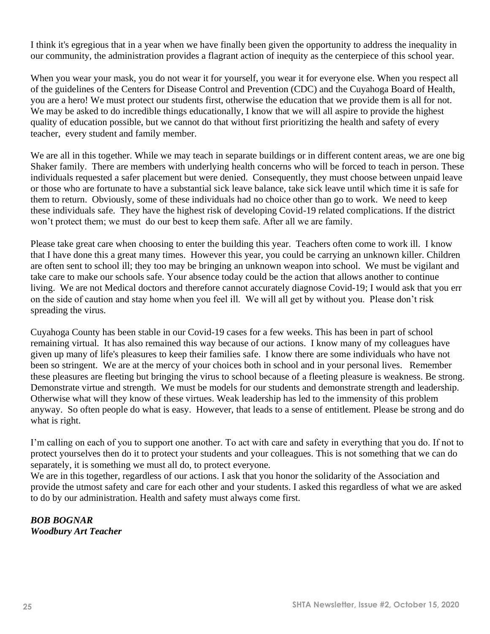I think it's egregious that in a year when we have finally been given the opportunity to address the inequality in our community, the administration provides a flagrant action of inequity as the centerpiece of this school year.

When you wear your mask, you do not wear it for yourself, you wear it for everyone else. When you respect all of the guidelines of the Centers for Disease Control and Prevention (CDC) and the Cuyahoga Board of Health, you are a hero! We must protect our students first, otherwise the education that we provide them is all for not. We may be asked to do incredible things educationally, I know that we will all aspire to provide the highest quality of education possible, but we cannot do that without first prioritizing the health and safety of every teacher, every student and family member.

We are all in this together. While we may teach in separate buildings or in different content areas, we are one big Shaker family. There are members with underlying health concerns who will be forced to teach in person. These individuals requested a safer placement but were denied. Consequently, they must choose between unpaid leave or those who are fortunate to have a substantial sick leave balance, take sick leave until which time it is safe for them to return. Obviously, some of these individuals had no choice other than go to work. We need to keep these individuals safe. They have the highest risk of developing Covid-19 related complications. If the district won't protect them; we must do our best to keep them safe. After all we are family.

Please take great care when choosing to enter the building this year. Teachers often come to work ill. I know that I have done this a great many times. However this year, you could be carrying an unknown killer. Children are often sent to school ill; they too may be bringing an unknown weapon into school. We must be vigilant and take care to make our schools safe. Your absence today could be the action that allows another to continue living. We are not Medical doctors and therefore cannot accurately diagnose Covid-19; I would ask that you err on the side of caution and stay home when you feel ill. We will all get by without you. Please don't risk spreading the virus.

Cuyahoga County has been stable in our Covid-19 cases for a few weeks. This has been in part of school remaining virtual. It has also remained this way because of our actions. I know many of my colleagues have given up many of life's pleasures to keep their families safe. I know there are some individuals who have not been so stringent. We are at the mercy of your choices both in school and in your personal lives. Remember these pleasures are fleeting but bringing the virus to school because of a fleeting pleasure is weakness. Be strong. Demonstrate virtue and strength. We must be models for our students and demonstrate strength and leadership. Otherwise what will they know of these virtues. Weak leadership has led to the immensity of this problem anyway. So often people do what is easy. However, that leads to a sense of entitlement. Please be strong and do what is right.

I'm calling on each of you to support one another. To act with care and safety in everything that you do. If not to protect yourselves then do it to protect your students and your colleagues. This is not something that we can do separately, it is something we must all do, to protect everyone.

We are in this together, regardless of our actions. I ask that you honor the solidarity of the Association and provide the utmost safety and care for each other and your students. I asked this regardless of what we are asked to do by our administration. Health and safety must always come first.

*BOB BOGNAR Woodbury Art Teacher*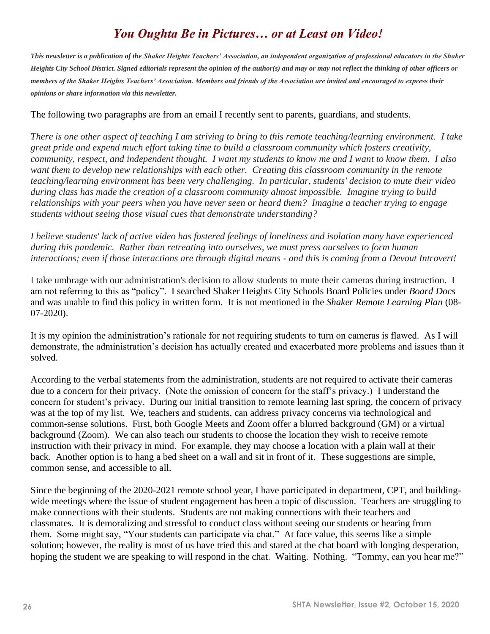# *You Oughta Be in Pictures… or at Least on Video!*

*This newsletter is a publication of the Shaker Heights Teachers' Association, an independent organization of professional educators in the Shaker Heights City School District. Signed editorials represent the opinion of the author(s) and may or may not reflect the thinking of other officers or members of the Shaker Heights Teachers' Association. Members and friends of the Association are invited and encouraged to express their opinions or share information via this newsletter.*

#### The following two paragraphs are from an email I recently sent to parents, guardians, and students.

*There is one other aspect of teaching I am striving to bring to this remote teaching/learning environment. I take great pride and expend much effort taking time to build a classroom community which fosters creativity, community, respect, and independent thought. I want my students to know me and I want to know them. I also want them to develop new relationships with each other. Creating this classroom community in the remote teaching/learning environment has been very challenging. In particular, students' decision to mute their video during class has made the creation of a classroom community almost impossible. Imagine trying to build relationships with your peers when you have never seen or heard them? Imagine a teacher trying to engage students without seeing those visual cues that demonstrate understanding?* 

*I believe students' lack of active video has fostered feelings of loneliness and isolation many have experienced during this pandemic. Rather than retreating into ourselves, we must press ourselves to form human interactions; even if those interactions are through digital means - and this is coming from a Devout Introvert!*

I take umbrage with our administration's decision to allow students to mute their cameras during instruction. I am not referring to this as "policy". I searched Shaker Heights City Schools Board Policies under *Board Docs* and was unable to find this policy in written form. It is not mentioned in the *Shaker Remote Learning Plan* (08- 07-2020).

It is my opinion the administration's rationale for not requiring students to turn on cameras is flawed. As I will demonstrate, the administration's decision has actually created and exacerbated more problems and issues than it solved.

According to the verbal statements from the administration, students are not required to activate their cameras due to a concern for their privacy. (Note the omission of concern for the staff's privacy.) I understand the concern for student's privacy. During our initial transition to remote learning last spring, the concern of privacy was at the top of my list. We, teachers and students, can address privacy concerns via technological and common-sense solutions. First, both Google Meets and Zoom offer a blurred background (GM) or a virtual background (Zoom). We can also teach our students to choose the location they wish to receive remote instruction with their privacy in mind. For example, they may choose a location with a plain wall at their back. Another option is to hang a bed sheet on a wall and sit in front of it. These suggestions are simple, common sense, and accessible to all.

Since the beginning of the 2020-2021 remote school year, I have participated in department, CPT, and buildingwide meetings where the issue of student engagement has been a topic of discussion. Teachers are struggling to make connections with their students. Students are not making connections with their teachers and classmates. It is demoralizing and stressful to conduct class without seeing our students or hearing from them. Some might say, "Your students can participate via chat." At face value, this seems like a simple solution; however, the reality is most of us have tried this and stared at the chat board with longing desperation, hoping the student we are speaking to will respond in the chat. Waiting. Nothing. "Tommy, can you hear me?"